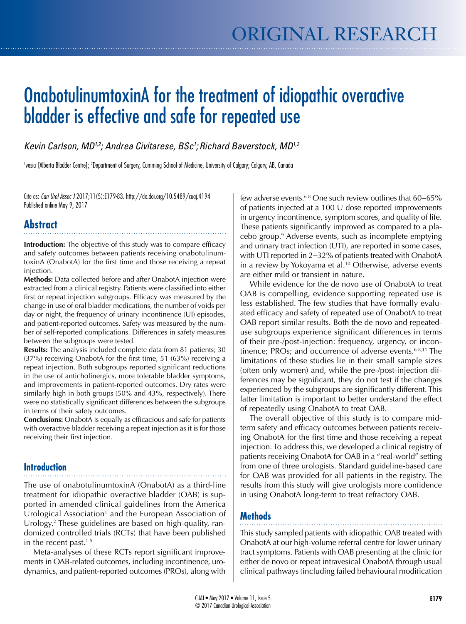# OnabotulinumtoxinA for the treatment of idiopathic overactive bladder is effective and safe for repeated use

Kevin Carlson, MD<sup>1,2</sup>; Andrea Civitarese, BSc<sup>1</sup>; Richard Baverstock, MD<sup>1,2</sup>

<sup>1</sup>vesia [Alberta Bladder Centre]; <sup>2</sup>Department of Surgery, Cumming School of Medicine, University of Calgary; Calgary, AB, Canada

Cite as: *Can Urol Assoc J* 2017;11(5):E179-83. http://dx.doi.org/10.5489/cuaj.4194 Published online May 9, 2017

## **Abstract**

**Introduction:** The objective of this study was to compare efficacy and safety outcomes between patients receiving onabotulinumtoxinA (OnabotA) for the first time and those receiving a repeat injection.

**Methods:** Data collected before and after OnabotA injection were extracted from a clinical registry. Patients were classified into either first or repeat injection subgroups. Efficacy was measured by the change in use of oral bladder medications, the number of voids per day or night, the frequency of urinary incontinence (UI) episodes, and patient-reported outcomes. Safety was measured by the number of self-reported complications. Differences in safety measures between the subgroups were tested.

**Results:** The analysis included complete data from 81 patients; 30 (37%) receiving OnabotA for the first time, 51 (63%) receiving a repeat injection. Both subgroups reported significant reductions in the use of anticholinergics, more tolerable bladder symptoms, and improvements in patient-reported outcomes. Dry rates were similarly high in both groups (50% and 43%, respectively). There were no statistically significant differences between the subgroups in terms of their safety outcomes.

**Conclusions:** OnabotA is equally as efficacious and safe for patients with overactive bladder receiving a repeat injection as it is for those receiving their first injection.

## **Introduction**

The use of onabotulinumtoxinA (OnabotA) as a third-line treatment for idiopathic overactive bladder (OAB) is supported in amended clinical guidelines from the America Urological Association<sup>1</sup> and the European Association of Urology.2 These guidelines are based on high-quality, randomized controlled trials (RCTs) that have been published in the recent past. $1-5$ 

Meta-analyses of these RCTs report significant improvements in OAB-related outcomes, including incontinence, urodynamics, and patient-reported outcomes (PROs), along with

few adverse events.<sup>6-8</sup> One such review outlines that 60–65% of patients injected at a 100 U dose reported improvements in urgency incontinence, symptom scores, and quality of life. These patients significantly improved as compared to a placebo group.9 Adverse events, such as incomplete emptying and urinary tract infection (UTI), are reported in some cases, with UTI reported in 2-32% of patients treated with OnabotA in a review by Yokoyama et al.<sup>10</sup> Otherwise, adverse events are either mild or transient in nature.

While evidence for the de novo use of OnabotA to treat OAB is compelling, evidence supporting repeated use is less established. The few studies that have formally evaluated efficacy and safety of repeated use of OnabotA to treat OAB report similar results. Both the de novo and repeateduse subgroups experience significant differences in terms of their pre-/post-injection: frequency, urgency, or incontinence; PROs; and occurrence of adverse events. $6-8,11$  The limitations of these studies lie in their small sample sizes (often only women) and, while the pre-/post-injection differences may be significant, they do not test if the changes experienced by the subgroups are significantly different. This latter limitation is important to better understand the effect of repeatedly using OnabotA to treat OAB.

The overall objective of this study is to compare midterm safety and efficacy outcomes between patients receiving OnabotA for the first time and those receiving a repeat injection. To address this, we developed a clinical registry of patients receiving OnabotA for OAB in a "real-world" setting from one of three urologists. Standard guideline-based care for OAB was provided for all patients in the registry. The results from this study will give urologists more confidence in using OnabotA long-term to treat refractory OAB.

## **Methods**

This study sampled patients with idiopathic OAB treated with OnabotA at our high-volume referral centre for lower urinary tract symptoms. Patients with OAB presenting at the clinic for either de novo or repeat intravesical OnabotA through usual clinical pathways (including failed behavioural modification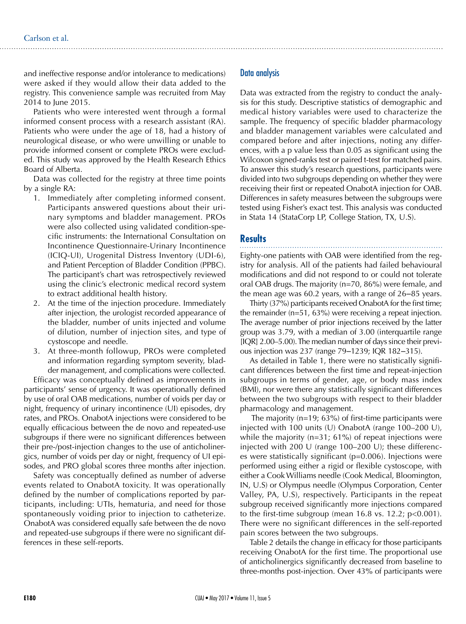and ineffective response and/or intolerance to medications) were asked if they would allow their data added to the registry. This convenience sample was recruited from May 2014 to June 2015.

Patients who were interested went through a formal informed consent process with a research assistant (RA). Patients who were under the age of 18, had a history of neurological disease, or who were unwilling or unable to provide informed consent or complete PROs were excluded. This study was approved by the Health Research Ethics Board of Alberta.

Data was collected for the registry at three time points by a single RA:

- 1. Immediately after completing informed consent. Participants answered questions about their urinary symptoms and bladder management. PROs were also collected using validated condition-specific instruments: the International Consultation on Incontinence Questionnaire-Urinary Incontinence (ICIQ-UI), Urogenital Distress Inventory (UDI-6), and Patient Perception of Bladder Condition (PPBC). The participant's chart was retrospectively reviewed using the clinic's electronic medical record system to extract additional health history.
- 2. At the time of the injection procedure. Immediately after injection, the urologist recorded appearance of the bladder, number of units injected and volume of dilution, number of injection sites, and type of cystoscope and needle.
- At three-month followup, PROs were completed and information regarding symptom severity, bladder management, and complications were collected.

Efficacy was conceptually defined as improvements in participants' sense of urgency. It was operationally defined by use of oral OAB medications, number of voids per day or night, frequency of urinary incontinence (UI) episodes, dry rates, and PROs. OnabotA injections were considered to be equally efficacious between the de novo and repeated-use subgroups if there were no significant differences between their pre-/post-injection changes to the use of anticholinergics, number of voids per day or night, frequency of UI episodes, and PRO global scores three months after injection.

Safety was conceptually defined as number of adverse events related to OnabotA toxicity. It was operationally defined by the number of complications reported by participants, including: UTIs, hematuria, and need for those spontaneously voiding prior to injection to catheterize. OnabotA was considered equally safe between the de novo and repeated-use subgroups if there were no significant differences in these self-reports.

## Data analysis

Data was extracted from the registry to conduct the analysis for this study. Descriptive statistics of demographic and medical history variables were used to characterize the sample. The frequency of specific bladder pharmacology and bladder management variables were calculated and compared before and after injections, noting any differences, with a p value less than 0.05 as significant using the Wilcoxon signed-ranks test or paired t-test for matched pairs. To answer this study's research questions, participants were divided into two subgroups depending on whether they were receiving their first or repeated OnabotA injection for OAB. Differences in safety measures between the subgroups were tested using Fisher's exact test. This analysis was conducted in Stata 14 (StataCorp LP, College Station, TX, U.S).

## **Results**

Eighty-one patients with OAB were identified from the registry for analysis. All of the patients had failed behavioural modifications and did not respond to or could not tolerate oral OAB drugs. The majority (n=70, 86%) were female, and the mean age was 60.2 years, with a range of 26–85 years.

Thirty (37%) participants received OnabotA for the first time; the remainder (n=51, 63%) were receiving a repeat injection. The average number of prior injections received by the latter group was 3.79, with a median of 3.00 (interquartile range [IQR] 2.00–5.00). The median number of days since their previous injection was 237 (range 79–1239; IQR 182–315).

As detailed in Table 1, there were no statistically significant differences between the first time and repeat-injection subgroups in terms of gender, age, or body mass index (BMI), nor were there any statistically significant differences between the two subgroups with respect to their bladder pharmacology and management.

 The majority (n=19; 63%) of first-time participants were injected with 100 units (U) OnabotA (range 100–200 U), while the majority (n=31; 61%) of repeat injections were injected with 200 U (range 100–200 U); these differences were statistically significant (p=0.006). Injections were performed using either a rigid or flexible cystoscope, with either a Cook Williams needle (Cook Medical, Bloomington, IN, U.S) or Olympus needle (Olympus Corporation, Center Valley, PA, U.S), respectively. Participants in the repeat subgroup received significantly more injections compared to the first-time subgroup (mean  $16.8$  vs.  $12.2$ ;  $p<0.001$ ). There were no significant differences in the self-reported pain scores between the two subgroups.

Table 2 details the change in efficacy for those participants receiving OnabotA for the first time. The proportional use of anticholinergics significantly decreased from baseline to three-months post-injection. Over 43% of participants were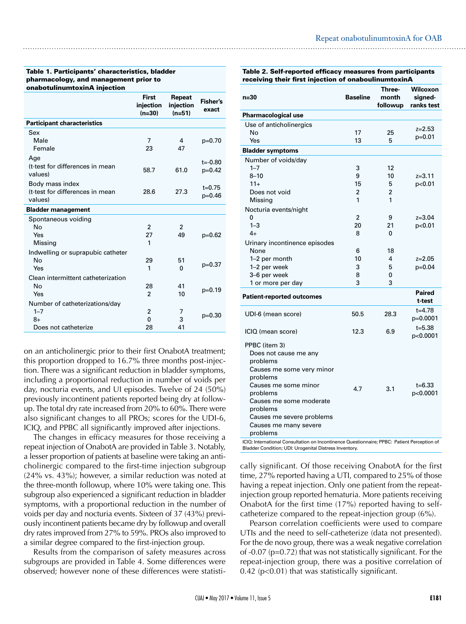#### Table 1. Participants' characteristics, bladder pharmacology, and management prior to onabotulinumtoxinA injection

|                                                                           | <b>First</b><br>injection<br>$(n=30)$ | Repeat<br>injection<br>$(n=51)$ | <b>Fisher's</b><br>exact |
|---------------------------------------------------------------------------|---------------------------------------|---------------------------------|--------------------------|
| <b>Participant characteristics</b>                                        |                                       |                                 |                          |
| Sex<br>Male<br>Female                                                     | $\overline{7}$<br>23                  | 4<br>47                         | $p=0.70$                 |
| Age<br>(t-test for differences in mean<br>values)                         | 58.7                                  | 61.0                            | $t = -0.80$<br>$p=0.42$  |
| Body mass index<br>(t-test for differences in mean<br>values)             | 28.6                                  | 27.3                            | $t = 0.75$<br>$p=0.46$   |
| <b>Bladder management</b>                                                 |                                       |                                 |                          |
| Spontaneous voiding<br>No<br>Yes<br>Missing                               | $\overline{2}$<br>27<br>1             | $\overline{2}$<br>49            | $p=0.62$                 |
| Indwelling or suprapubic catheter<br>No<br>Yes                            | 29<br>1                               | 51<br>$\Omega$                  | $p=0.37$                 |
| Clean intermittent catheterization<br>No<br>Yes                           | 28<br>$\mathfrak{p}$                  | 41<br>10                        | $p=0.19$                 |
| Number of catheterizations/day<br>$1 - 7$<br>$8+$<br>Does not catheterize | $\overline{2}$<br>0<br>28             | 7<br>3<br>41                    | $p=0.30$                 |

on an anticholinergic prior to their first OnabotA treatment; this proportion dropped to 16.7% three months post-injection. There was a significant reduction in bladder symptoms, including a proportional reduction in number of voids per day, nocturia events, and UI episodes. Twelve of 24 (50%) previously incontinent patients reported being dry at followup. The total dry rate increased from 20% to 60%. There were also significant changes to all PROs; scores for the UDI-6, ICIQ, and PPBC all significantly improved after injections.

The changes in efficacy measures for those receiving a repeat injection of OnabotA are provided in Table 3. Notably, a lesser proportion of patients at baseline were taking an anticholinergic compared to the first-time injection subgroup (24% vs. 43%); however, a similar reduction was noted at the three-month followup, where 10% were taking one. This subgroup also experienced a significant reduction in bladder symptoms, with a proportional reduction in the number of voids per day and nocturia events. Sixteen of 37 (43%) previously incontinent patients became dry by followup and overall dry rates improved from 27% to 59%. PROs also improved to a similar degree compared to the first-injection group.

Results from the comparison of safety measures across subgroups are provided in Table 4. Some differences were observed; however none of these differences were statistiTable 2. Self-reported efficacy measures from participants receiv first injection of onaboulinum

| receiving their mist injection of onab                                                      |                 |                             |                                          |
|---------------------------------------------------------------------------------------------|-----------------|-----------------------------|------------------------------------------|
| $n=30$                                                                                      | <b>Baseline</b> | Three-<br>month<br>followup | <b>Wilcoxon</b><br>signed-<br>ranks test |
| Pharmacological use                                                                         |                 |                             |                                          |
| Use of anticholinergics                                                                     |                 |                             |                                          |
| No                                                                                          | 17              | 25                          | $z = 2.53$                               |
| Yes                                                                                         | 13              | 5                           | $p=0.01$                                 |
| <b>Bladder symptoms</b>                                                                     |                 |                             |                                          |
| Number of voids/day                                                                         |                 |                             |                                          |
| $1 - 7$                                                                                     | 3               | 12                          |                                          |
| $8 - 10$                                                                                    | 9               | 10                          | $z = 3.11$                               |
| $11 +$                                                                                      | 15              | 5                           | p<0.01                                   |
| Does not void                                                                               | $\overline{c}$  | 2                           |                                          |
| Missing                                                                                     | 1               | 1                           |                                          |
| Nocturia events/night                                                                       |                 |                             |                                          |
| 0                                                                                           | $\overline{2}$  | 9                           | $z = 3.04$                               |
| $1 - 3$                                                                                     | 20              | 21                          | p<0.01                                   |
| $4+$                                                                                        | 8               | $\Omega$                    |                                          |
| Urinary incontinence episodes                                                               |                 |                             |                                          |
| None                                                                                        | 6               | 18                          |                                          |
| 1-2 per month                                                                               | 10              | 4                           | $z = 2.05$                               |
| 1-2 per week                                                                                | 3               | 5                           | $p=0.04$                                 |
| 3–6 per week                                                                                | 8               | 0                           |                                          |
| 1 or more per day                                                                           | 3               | 3                           |                                          |
| <b>Patient-reported outcomes</b>                                                            |                 |                             | <b>Paired</b><br>t-test                  |
| UDI-6 (mean score)                                                                          | 50.5            | 28.3                        | $t = 4.78$<br>p=0.0001                   |
| ICIQ (mean score)                                                                           | 12.3            | 6.9                         | $t = 5.38$<br>p<0.0001                   |
| PPBC (item 3)                                                                               |                 |                             |                                          |
| Does not cause me any                                                                       |                 |                             |                                          |
| problems                                                                                    |                 |                             |                                          |
| Causes me some very minor                                                                   |                 |                             |                                          |
| problems                                                                                    |                 |                             |                                          |
| Causes me some minor                                                                        | 4.7             | 3.1                         | $t = 6.33$                               |
| problems                                                                                    |                 |                             | p<0.0001                                 |
| Causes me some moderate                                                                     |                 |                             |                                          |
| problems                                                                                    |                 |                             |                                          |
| Causes me severe problems                                                                   |                 |                             |                                          |
| Causes me many severe                                                                       |                 |                             |                                          |
| problems                                                                                    |                 |                             |                                          |
| ICIQ: International Consultation on Incontinence Questionnaire; PPBC: Patient Perception of |                 |                             |                                          |

cally significant. Of those receiving OnabotA for the first time, 27% reported having a UTI, compared to 25% of those having a repeat injection. Only one patient from the repeatinjection group reported hematuria. More patients receiving OnabotA for the first time (17%) reported having to self-

Bladder Condition; UDI: Urogenital Distress Inventory.

catheterize compared to the repeat-injection group (6%). Pearson correlation coefficients were used to compare UTIs and the need to self-catheterize (data not presented). For the de novo group, there was a weak negative correlation of -0.07 (p=0.72) that was not statistically significant. For the repeat-injection group, there was a positive correlation of 0.42 (p<0.01) that was statistically significant.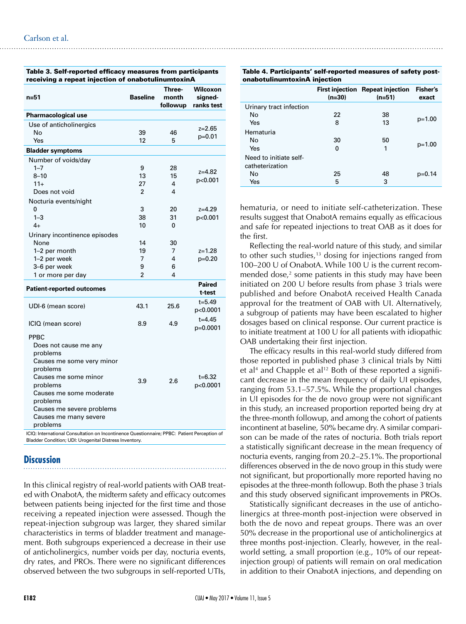| n=51                                                                                                                                                                                                                                   | <b>Baseline</b> | Three-<br>month<br>followup | <b>Wilcoxon</b><br>signed-<br>ranks test |
|----------------------------------------------------------------------------------------------------------------------------------------------------------------------------------------------------------------------------------------|-----------------|-----------------------------|------------------------------------------|
| <b>Pharmacological use</b>                                                                                                                                                                                                             |                 |                             |                                          |
| Use of anticholinergics                                                                                                                                                                                                                |                 |                             | z=2.65                                   |
| No                                                                                                                                                                                                                                     | 39              | 46                          | p=0.01                                   |
| Yes                                                                                                                                                                                                                                    | 12              | 5                           |                                          |
| <b>Bladder symptoms</b>                                                                                                                                                                                                                |                 |                             |                                          |
| Number of voids/day                                                                                                                                                                                                                    |                 |                             |                                          |
| $1 - 7$                                                                                                                                                                                                                                | 9               | 28                          | $z = 4.82$                               |
| $8 - 10$                                                                                                                                                                                                                               | 13              | 15                          | p<0.001                                  |
| $11 +$                                                                                                                                                                                                                                 | 27              | 4                           |                                          |
| Does not void                                                                                                                                                                                                                          | 2               | 4                           |                                          |
| Nocturia events/night                                                                                                                                                                                                                  |                 |                             |                                          |
| 0                                                                                                                                                                                                                                      | 3               | 20                          | $z = 4.29$                               |
| $1 - 3$                                                                                                                                                                                                                                | 38              | 31                          | p<0.001                                  |
| $4+$                                                                                                                                                                                                                                   | 10              | 0                           |                                          |
| Urinary incontinence episodes                                                                                                                                                                                                          |                 |                             |                                          |
| None                                                                                                                                                                                                                                   | 14              | 30                          |                                          |
| 1-2 per month                                                                                                                                                                                                                          | 19              | 7                           | $z = 1.28$                               |
| 1-2 per week                                                                                                                                                                                                                           | 7               | 4                           | $p=0.20$                                 |
| 3-6 per week                                                                                                                                                                                                                           | 9               | 6                           |                                          |
| 1 or more per day                                                                                                                                                                                                                      | 2               | 4                           |                                          |
| <b>Patient-reported outcomes</b>                                                                                                                                                                                                       |                 |                             | <b>Paired</b><br>t-test                  |
| UDI-6 (mean score)                                                                                                                                                                                                                     | 43.1            | 25.6                        | $t = 5.49$<br>p<0.0001                   |
| ICIQ (mean score)                                                                                                                                                                                                                      | 8.9             | 4.9                         | $t = 4.45$<br>p=0.0001                   |
| <b>PPBC</b><br>Does not cause me any<br>problems<br>Causes me some very minor<br>problems<br>Causes me some minor<br>problems<br>Causes me some moderate<br>problems<br>Causes me severe problems<br>Causes me many severe<br>problems | 3.9             | 2.6                         | $t = 6.32$<br>p<0.0001                   |

Table 3. Self-reported efficacy measures from participants receiving a repeat injection of onabotulinumtoxinA

ICIQ: International Consultation on Incontinence Questionnaire; PPBC: Patient Perception of Bladder Condition; UDI: Urogenital Distress Inventory.

## **Discussion**

In this clinical registry of real-world patients with OAB treated with OnabotA, the midterm safety and efficacy outcomes between patients being injected for the first time and those receiving a repeated injection were assessed. Though the repeat-injection subgroup was larger, they shared similar characteristics in terms of bladder treatment and management. Both subgroups experienced a decrease in their use of anticholinergics, number voids per day, nocturia events, dry rates, and PROs. There were no significant differences observed between the two subgroups in self-reported UTIs,

#### Table 4. Participants' self-reported measures of safety postonabotulinumtoxinA injection

| <u> J.IUBU (U.I.I.U.I.I.OAIIII) 1 111100 (1011</u> |          |                                              |                          |  |  |  |
|----------------------------------------------------|----------|----------------------------------------------|--------------------------|--|--|--|
|                                                    | $(n=30)$ | First injection Repeat injection<br>$(n=51)$ | <b>Fisher's</b><br>exact |  |  |  |
| Urinary tract infection                            |          |                                              |                          |  |  |  |
| No                                                 | 22       | 38                                           |                          |  |  |  |
| Yes                                                | 8        | 13                                           | $p=1.00$                 |  |  |  |
| Hematuria                                          |          |                                              |                          |  |  |  |
| No                                                 | 30       | 50                                           |                          |  |  |  |
| Yes                                                | 0        | 1                                            | $p=1.00$                 |  |  |  |
| Need to initiate self-                             |          |                                              |                          |  |  |  |
| catheterization                                    |          |                                              |                          |  |  |  |
| No                                                 | 25       | 48                                           | $p=0.14$                 |  |  |  |
| Yes                                                | 5        | 3                                            |                          |  |  |  |

hematuria, or need to initiate self-catheterization. These results suggest that OnabotA remains equally as efficacious and safe for repeated injections to treat OAB as it does for the first.

Reflecting the real-world nature of this study, and similar to other such studies,<sup>13</sup> dosing for injections ranged from 100–200 U of OnabotA. While 100 U is the current recommended dose,<sup>2</sup> some patients in this study may have been initiated on 200 U before results from phase 3 trials were published and before OnabotA received Health Canada approval for the treatment of OAB with UI. Alternatively, a subgroup of patients may have been escalated to higher dosages based on clinical response. Our current practice is to initiate treatment at 100 U for all patients with idiopathic OAB undertaking their first injection.

The efficacy results in this real-world study differed from those reported in published phase 3 clinical trials by Nitti et al<sup>4</sup> and Chapple et al<sup>12</sup> Both of these reported a significant decrease in the mean frequency of daily UI episodes, ranging from 53.1–57.5%. While the proportional changes in UI episodes for the de novo group were not significant in this study, an increased proportion reported being dry at the three-month followup, and among the cohort of patients incontinent at baseline, 50% became dry. A similar comparison can be made of the rates of nocturia. Both trials report a statistically significant decrease in the mean frequency of nocturia events, ranging from 20.2–25.1%. The proportional differences observed in the de novo group in this study were not significant, but proportionally more reported having no episodes at the three-month followup. Both the phase 3 trials and this study observed significant improvements in PROs.

Statistically significant decreases in the use of anticholinergics at three-month post-injection were observed in both the de novo and repeat groups. There was an over 50% decrease in the proportional use of anticholinergics at three months post-injection. Clearly, however, in the realworld setting, a small proportion (e.g., 10% of our repeatinjection group) of patients will remain on oral medication in addition to their OnabotA injections, and depending on